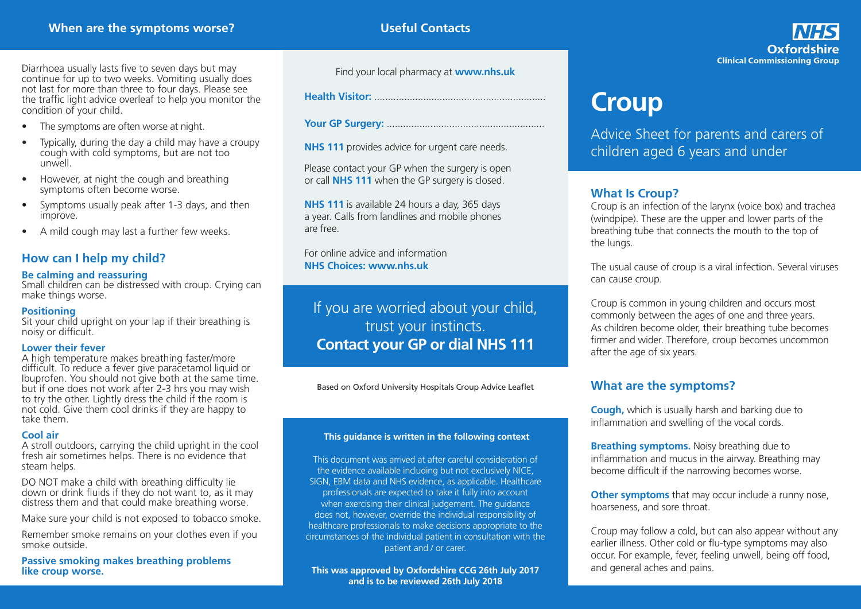**Useful Contacts**

Oxfordshire **Clinical Commissioning Group** 

Diarrhoea usually lasts five to seven days but may continue for up to two weeks. Vomiting usually does not last for more than three to four days. Please see the traffic light advice overleaf to help you monitor the condition of your child.

- The symptoms are often worse at night.
- Typically, during the day a child may have a croupy cough with cold symptoms, but are not too unwell.
- However, at night the cough and breathing symptoms often become worse.
- Symptoms usually peak after 1-3 days, and then improve.
- A mild cough may last a further few weeks.

## **How can I help my child?**

#### **Be calming and reassuring**

Small children can be distressed with croup. Crying can make things worse.

#### **Positioning**

Sit your child upright on your lap if their breathing is noisy or difficult.

#### **Lower their fever**

A high temperature makes breathing faster/more difficult. To reduce a fever give paracetamol liquid or Ibuprofen. You should not give both at the same time. but if one does not work after 2-3 hrs you may wish to try the other. Lightly dress the child if the room is not cold. Give them cool drinks if they are happy to take them.

#### **Cool air**

A stroll outdoors, carrying the child upright in the cool fresh air sometimes helps. There is no evidence that steam helps.

DO NOT make a child with breathing difficulty lie down or drink fluids if they do not want to, as it may distress them and that could make breathing worse.

Make sure your child is not exposed to tobacco smoke.

Remember smoke remains on your clothes even if you smoke outside.

**Passive smoking makes breathing problems like croup worse.**

Find your local pharmacy at **www.nhs.uk**

**Health Visitor:** ...............................................................

**Your GP Surgery:** ..........................................................

**NHS 111** provides advice for urgent care needs.

Please contact your GP when the surgery is open or call **NHS 111** when the GP surgery is closed.

**NHS 111** is available 24 hours a day, 365 days a year. Calls from landlines and mobile phones are free.

For online advice and information **NHS Choices: www.nhs.uk**

# If you are worried about your child, trust your instincts. **Contact your GP or dial NHS 111**

Based on Oxford University Hospitals Croup Advice Leaflet

#### **This guidance is written in the following context**

This document was arrived at after careful consideration of the evidence available including but not exclusively NICE, SIGN, EBM data and NHS evidence, as applicable. Healthcare professionals are expected to take it fully into account when exercising their clinical judgement. The guidance does not, however, override the individual responsibility of healthcare professionals to make decisions appropriate to the circumstances of the individual patient in consultation with the patient and / or carer.

**This was approved by Oxfordshire CCG 26th July 2017 and is to be reviewed 26th July 2018**

# **Croup**

Advice Sheet for parents and carers of children aged 6 years and under

## **What Is Croup?**

Croup is an infection of the larynx (voice box) and trachea (windpipe). These are the upper and lower parts of the breathing tube that connects the mouth to the top of the lungs.

The usual cause of croup is a viral infection. Several viruses can cause croup.

Croup is common in young children and occurs most commonly between the ages of one and three years. As children become older, their breathing tube becomes firmer and wider. Therefore, croup becomes uncommon after the age of six years.

## **What are the symptoms?**

**Cough,** which is usually harsh and barking due to inflammation and swelling of the vocal cords.

**Breathing symptoms.** Noisy breathing due to inflammation and mucus in the airway. Breathing may become difficult if the narrowing becomes worse.

**Other symptoms** that may occur include a runny nose, hoarseness, and sore throat.

Croup may follow a cold, but can also appear without any earlier illness. Other cold or flu-type symptoms may also occur. For example, fever, feeling unwell, being off food, and general aches and pains.